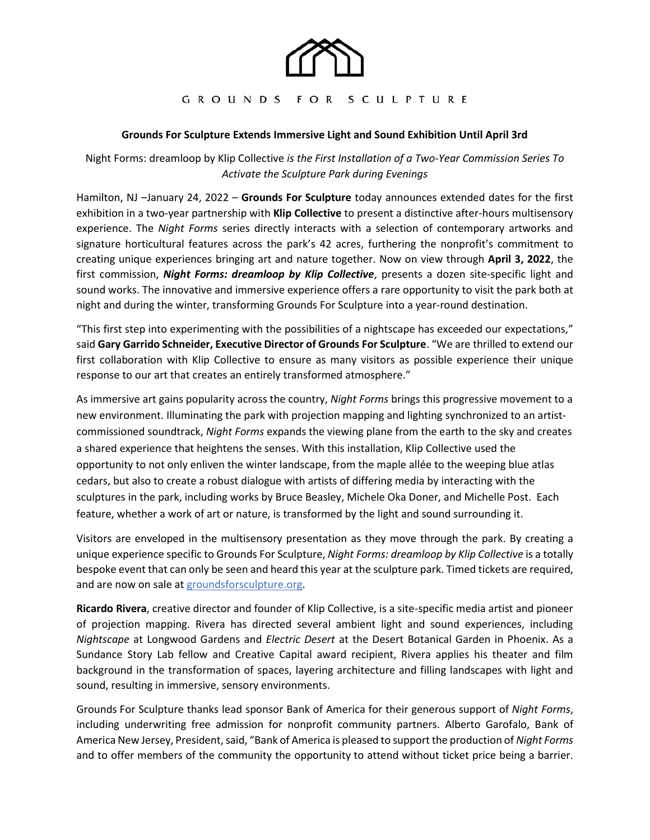

## GROUNDS FOR SCULPTURE

## **Grounds For Sculpture Extends Immersive Light and Sound Exhibition Until April 3rd**

Night Forms: dreamloop by Klip Collective *is the First Installation of a Two-Year Commission Series To Activate the Sculpture Park during Evenings* 

Hamilton, NJ –January 24, 2022 – **Grounds For Sculpture** today announces extended dates for the first exhibition in a two-year partnership with **Klip Collective** to present a distinctive after-hours multisensory experience. The *Night Forms* series directly interacts with a selection of contemporary artworks and signature horticultural features across the park's 42 acres, furthering the nonprofit's commitment to creating unique experiences bringing art and nature together. Now on view through **April 3, 2022**, the first commission, *Night Forms: dreamloop by Klip Collective*, presents a dozen site-specific light and sound works. The innovative and immersive experience offers a rare opportunity to visit the park both at night and during the winter, transforming Grounds For Sculpture into a year-round destination.

"This first step into experimenting with the possibilities of a nightscape has exceeded our expectations," said **Gary Garrido Schneider, Executive Director of Grounds For Sculpture**. "We are thrilled to extend our first collaboration with Klip Collective to ensure as many visitors as possible experience their unique response to our art that creates an entirely transformed atmosphere."

As immersive art gains popularity across the country, *Night Forms* brings this progressive movement to a new environment. Illuminating the park with projection mapping and lighting synchronized to an artistcommissioned soundtrack, *Night Forms* expands the viewing plane from the earth to the sky and creates a shared experience that heightens the senses. With this installation, Klip Collective used the opportunity to not only enliven the winter landscape, from the maple allée to the weeping blue atlas cedars, but also to create a robust dialogue with artists of differing media by interacting with the sculptures in the park, including works by Bruce Beasley, Michele Oka Doner, and Michelle Post. Each feature, whether a work of art or nature, is transformed by the light and sound surrounding it.

Visitors are enveloped in the multisensory presentation as they move through the park. By creating a unique experience specific to Grounds For Sculpture, *Night Forms: dreamloop by Klip Collective* is a totally bespoke event that can only be seen and heard this year at the sculpture park. Timed tickets are required, and are now on sale at [groundsforsculpture.org.](https://www.groundsforsculpture.org/exhibitions/night-forms-dreamloop-by-klip-collective/)

**Ricardo Rivera**, creative director and founder of Klip Collective, is a site-specific media artist and pioneer of projection mapping. Rivera has directed several ambient light and sound experiences, including *Nightscape* at Longwood Gardens and *Electric Desert* at the Desert Botanical Garden in Phoenix. As a Sundance Story Lab fellow and Creative Capital award recipient, Rivera applies his theater and film background in the transformation of spaces, layering architecture and filling landscapes with light and sound, resulting in immersive, sensory environments.

Grounds For Sculpture thanks lead sponsor Bank of America for their generous support of *Night Forms*, including underwriting free admission for nonprofit community partners. Alberto Garofalo, Bank of America New Jersey, President, said, "Bank of America is pleased to support the production of *Night Forms* and to offer members of the community the opportunity to attend without ticket price being a barrier.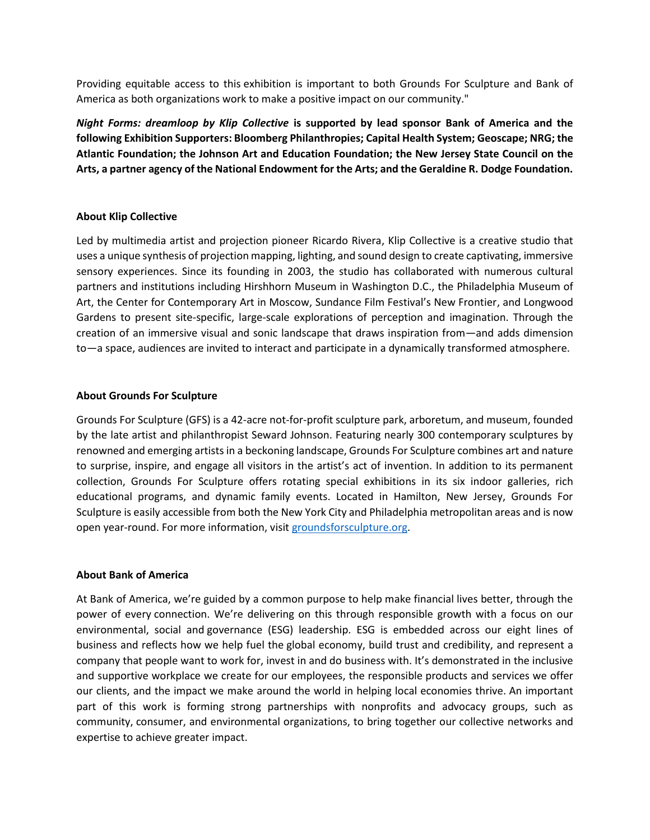Providing equitable access to this exhibition is important to both Grounds For Sculpture and Bank of America as both organizations work to make a positive impact on our community."

*Night Forms: dreamloop by Klip Collective* **is supported by lead sponsor Bank of America and the following Exhibition Supporters: Bloomberg Philanthropies; Capital Health System; Geoscape; NRG; the Atlantic Foundation; the Johnson Art and Education Foundation; the New Jersey State Council on the Arts, a partner agency of the National Endowment for the Arts; and the Geraldine R. Dodge Foundation.**

# **About Klip Collective**

Led by multimedia artist and projection pioneer Ricardo Rivera, Klip Collective is a creative studio that uses a unique synthesis of projection mapping, lighting, and sound design to create captivating, immersive sensory experiences. Since its founding in 2003, the studio has collaborated with numerous cultural partners and institutions including Hirshhorn Museum in Washington D.C., the Philadelphia Museum of Art, the Center for Contemporary Art in Moscow, Sundance Film Festival's New Frontier, and Longwood Gardens to present site-specific, large-scale explorations of perception and imagination. Through the creation of an immersive visual and sonic landscape that draws inspiration from—and adds dimension to—a space, audiences are invited to interact and participate in a dynamically transformed atmosphere.

## **About Grounds For Sculpture**

Grounds For Sculpture (GFS) is a 42-acre not-for-profit sculpture park, arboretum, and museum, founded by the late artist and philanthropist Seward Johnson. Featuring nearly 300 contemporary sculptures by renowned and emerging artists in a beckoning landscape, Grounds For Sculpture combines art and nature to surprise, inspire, and engage all visitors in the artist's act of invention. In addition to its permanent collection, Grounds For Sculpture offers rotating special exhibitions in its six indoor galleries, rich educational programs, and dynamic family events. Located in Hamilton, New Jersey, Grounds For Sculpture is easily accessible from both the New York City and Philadelphia metropolitan areas and is now open year-round. For more information, visit [groundsforsculpture.org.](https://www.groundsforsculpture.org/)

#### **About Bank of America**

At Bank of America, we're guided by a common purpose to help make financial lives better, through the power of every connection. We're delivering on this through responsible growth with a focus on our environmental, social and governance (ESG) leadership. ESG is embedded across our eight lines of business and reflects how we help fuel the global economy, build trust and credibility, and represent a company that people want to work for, invest in and do business with. It's demonstrated in the inclusive and supportive workplace we create for our employees, the responsible products and services we offer our clients, and the impact we make around the world in helping local economies thrive. An important part of this work is forming strong partnerships with nonprofits and advocacy groups, such as community, consumer, and environmental organizations, to bring together our collective networks and expertise to achieve greater impact.